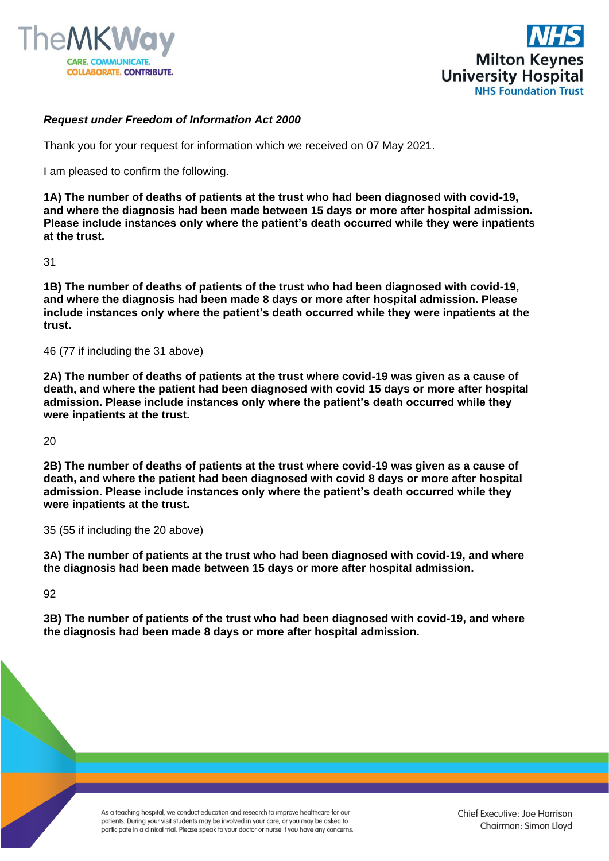



## *Request under Freedom of Information Act 2000*

Thank you for your request for information which we received on 07 May 2021.

I am pleased to confirm the following.

**1A) The number of deaths of patients at the trust who had been diagnosed with covid-19, and where the diagnosis had been made between 15 days or more after hospital admission. Please include instances only where the patient's death occurred while they were inpatients at the trust.** 

31

**1B) The number of deaths of patients of the trust who had been diagnosed with covid-19, and where the diagnosis had been made 8 days or more after hospital admission. Please include instances only where the patient's death occurred while they were inpatients at the trust.** 

46 (77 if including the 31 above)

**2A) The number of deaths of patients at the trust where covid-19 was given as a cause of death, and where the patient had been diagnosed with covid 15 days or more after hospital admission. Please include instances only where the patient's death occurred while they were inpatients at the trust.** 

20

**2B) The number of deaths of patients at the trust where covid-19 was given as a cause of death, and where the patient had been diagnosed with covid 8 days or more after hospital admission. Please include instances only where the patient's death occurred while they were inpatients at the trust.** 

35 (55 if including the 20 above)

**3A) The number of patients at the trust who had been diagnosed with covid-19, and where the diagnosis had been made between 15 days or more after hospital admission.** 

92

**3B) The number of patients of the trust who had been diagnosed with covid-19, and where the diagnosis had been made 8 days or more after hospital admission.**

> As a teaching hospital, we conduct education and research to improve healthcare for our patients. During your visit students may be involved in your care, or you may be asked to participate in a clinical trial. Please speak to your doctor or nurse if you have any concerns.